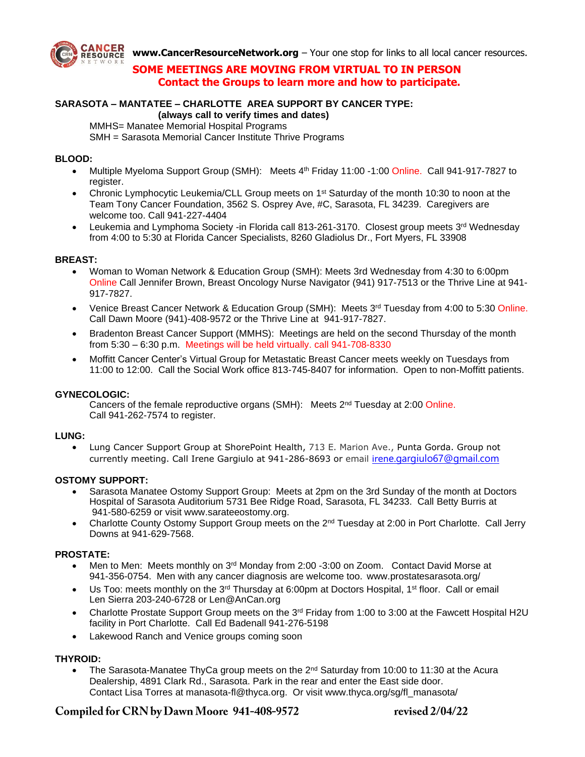

**[www.CancerResourceNetwork.org](http://www.cancerresourcenetwork.org/)** – Your one stop for links to all local cancer resources.

## **SOME MEETINGS ARE MOVING FROM VIRTUAL TO IN PERSON Contact the Groups to learn more and how to participate.**

#### **SARASOTA – MANTATEE – CHARLOTTE AREA SUPPORT BY CANCER TYPE: (always call to verify times and dates)**

MMHS= Manatee Memorial Hospital Programs

SMH = Sarasota Memorial Cancer Institute Thrive Programs

## **BLOOD:**

- Multiple Myeloma Support Group (SMH): Meets 4<sup>th</sup> Friday 11:00 -1:00 Online. Call 941-917-7827 to register.
- Chronic Lymphocytic Leukemia/CLL Group meets on 1<sup>st</sup> Saturday of the month 10:30 to noon at the Team Tony Cancer Foundation, 3562 S. Osprey Ave, #C, Sarasota, FL 34239. Caregivers are welcome too. Call 941-227-4404
- Leukemia and Lymphoma Society -in Florida call 813-261-3170. Closest group meets 3<sup>rd</sup> Wednesday from 4:00 to 5:30 at Florida Cancer Specialists, 8260 Gladiolus Dr., Fort Myers, FL 33908

## **BREAST:**

- Woman to Woman Network & Education Group (SMH): Meets 3rd Wednesday from 4:30 to 6:00pm Online Call Jennifer Brown, Breast Oncology Nurse Navigator (941) 917-7513 or the Thrive Line at 941- 917-7827.
- Venice Breast Cancer Network & Education Group (SMH): Meets  $3<sup>rd</sup>$  Tuesday from 4:00 to 5:30 Online. Call Dawn Moore (941)-408-9572 or the Thrive Line at 941-917-7827.
- Bradenton Breast Cancer Support (MMHS): Meetings are held on the second Thursday of the month from 5:30 – 6:30 p.m. Meetings will be held virtually. call 941-708-8330
- Moffitt Cancer Center's Virtual Group for Metastatic Breast Cancer meets weekly on Tuesdays from 11:00 to 12:00. Call the Social Work office 813-745-8407 for information. Open to non-Moffitt patients.

#### **GYNECOLOGIC:**

Cancers of the female reproductive organs (SMH): Meets 2<sup>nd</sup> Tuesday at 2:00 Online. Call 941-262-7574 to register.

#### **LUNG:**

• Lung Cancer Support Group at ShorePoint Health, 713 E. Marion Ave., Punta Gorda. Group not currently meeting. Call Irene Gargiulo at 941-286-8693 or email [iren](mailto:irene.gargiulo67@gmail.com)[e.gargiulo67@gmail.com](mailto:irene.gargiulo67@gmail.com)

#### **OSTOMY SUPPORT:**

- Sarasota Manatee Ostomy Support Group: Meets at 2pm on the 3rd Sunday of the month at Doctors Hospital of Sarasota Auditorium 5731 Bee Ridge Road, Sarasota, FL 34233. Call Betty Burris at 941-580-6259 or visit www.sarateeostomy.org.
- Charlotte County Ostomy Support Group meets on the 2<sup>nd</sup> Tuesday at 2:00 in Port Charlotte. Call Jerry Downs at 941-629-7568.

#### **PROSTATE:**

- Men to Men: Meets monthly on 3rd Monday from 2:00 -3:00 on Zoom. Contact David Morse at 941-356-0754. Men with any cancer diagnosis are welcome too. www.prostatesarasota.org/
- Us Too: meets monthly on the 3<sup>rd</sup> Thursday at 6:00pm at Doctors Hospital, 1<sup>st</sup> floor. Call or email Len Sierra 203-240-6728 or Len@AnCan.org
- Charlotte Prostate Support Group meets on the 3<sup>rd</sup> Friday from 1:00 to 3:00 at the Fawcett Hospital H2U facility in Port Charlotte. Call Ed Badenall 941-276-5198
- Lakewood Ranch and Venice groups coming soon

## **THYROID:**

The Sarasota-Manatee ThyCa group meets on the  $2<sup>nd</sup>$  Saturday from 10:00 to 11:30 at the Acura Dealership, 4891 Clark Rd., Sarasota. Park in the rear and enter the East side door. Contact Lisa Torres at [manasota-fl@thyca.org.](mailto:manasota-fl@thyca.org?subject=May%2021%20meeting%20RSVP) Or visit www.thyca.org/sg/fl\_manasota/

# Compiled for CRN by Dawn Moore 941-408-9572

revised 2/04/22